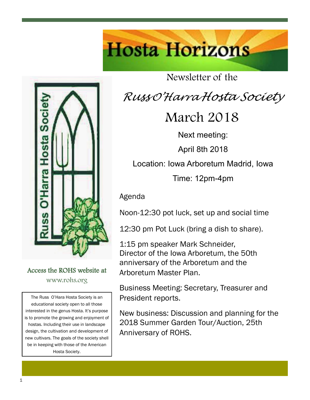

#### Access the ROHS website at www.rohs.org

The Russ O'Hara Hosta Society is an educational society open to all those interested in the genus Hosta. It's purpose is to promote the growing and enjoyment of hostas. Including their use in landscape design, the cultivation and development of new cultivars. The goals of the society shell be in keeping with those of the American Hosta Society.

Newsletter of the

**Hosta Horizons** 

# *Russ <sup>O</sup>'Harra Hosta Society*

## March 2018

Next meeting:

April 8th 2018

Location: Iowa Arboretum Madrid, Iowa

Time: 12pm-4pm

Agenda

Noon-12:30 pot luck, set up and social time

12:30 pm Pot Luck (bring a dish to share).

1:15 pm speaker Mark Schneider, Director of the Iowa Arboretum, the 50th anniversary of the Arboretum and the Arboretum Master Plan.

Business Meeting: Secretary, Treasurer and President reports.

New business: Discussion and planning for the 2018 Summer Garden Tour/Auction, 25th Anniversary of ROHS.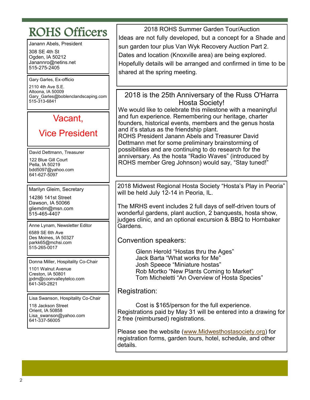### ROHS Officers

Janann Abels, President

308 SE 4th St Ogden, IA 50212 Janannro@netins.net 515-275-2405

Gary Garles, Ex-officio

2110 4th Ave S.E. Altoona, IA 50009 Gary\_Garles@boblenclandscaping.com 515-313-6841

### Vacant,

#### Vice President

David Dettmann, Treasurer 122 Blue Gill Court Pella, IA 50219 bdd5097@yahoo.com 641-627-5097

Marilyn Gleim, Secretary

14286 141st Street Dawson, IA 50066 gliemdm@msn.com 515-465-4407

Anne Lynam, Newsletter Editor 6589 SE 6th Ave

Des Moines, IA 50327 parkk65@mchsi.com 515-265-0017

Donna Miller, Hospitality Co-Chair

1101 Walnut Avenue Creston, IA 50801 jpdm@coonvalleytelco.com 641-345-2821

Lisa Swanson, Hospitality Co-Chair

118 Jackson Street Orient, IA 50858 Lisa swanson@yahoo.com 641-337-56005

2018 ROHS Summer Garden Tour/Auction Ideas are not fully developed, but a concept for a Shade and sun garden tour plus Van Wyk Recovery Auction Part 2. Dates and location (Knoxville area) are being explored. Hopefully details will be arranged and confirmed in time to be shared at the spring meeting.

2018 is the 25th Anniversary of the Russ O'Harra Hosta Society!

We would like to celebrate this milestone with a meaningful and fun experience. Remembering our heritage, charter founders, historical events, members and the genus hosta and it's status as the friendship plant.

ROHS President Janann Abels and Treasurer David Dettmann met for some preliminary brainstorming of possibilities and are continuing to do research for the anniversary. As the hosta "Radio Waves" (introduced by ROHS member Greg Johnson) would say, "Stay tuned!"

2018 Midwest Regional Hosta Society "Hosta's Play in Peoria" will be held July 12-14 in Peoria, IL.

The MRHS event includes 2 full days of self-driven tours of wonderful gardens, plant auction, 2 banquests, hosta show, judges clinic, and an optional excursion & BBQ to Hornbaker **Gardens** 

Convention speakers:

Glenn Herold "Hostas thru the Ages" Jack Barta "What works for Me" Josh Speece "Miniature hostas" Rob Mortko "New Plants Coming to Market" Tom Micheletti "An Overview of Hosta Species"

Registration:

Cost is \$165/person for the full experience. Registrations paid by May 31 will be entered into a drawing for 2 free (reimbursed) registrations.

Please see the website ([www.Midwesthostasociety.org\)](http://www.midwesthostasociety.org/) for registration forms, garden tours, hotel, schedule, and other details.